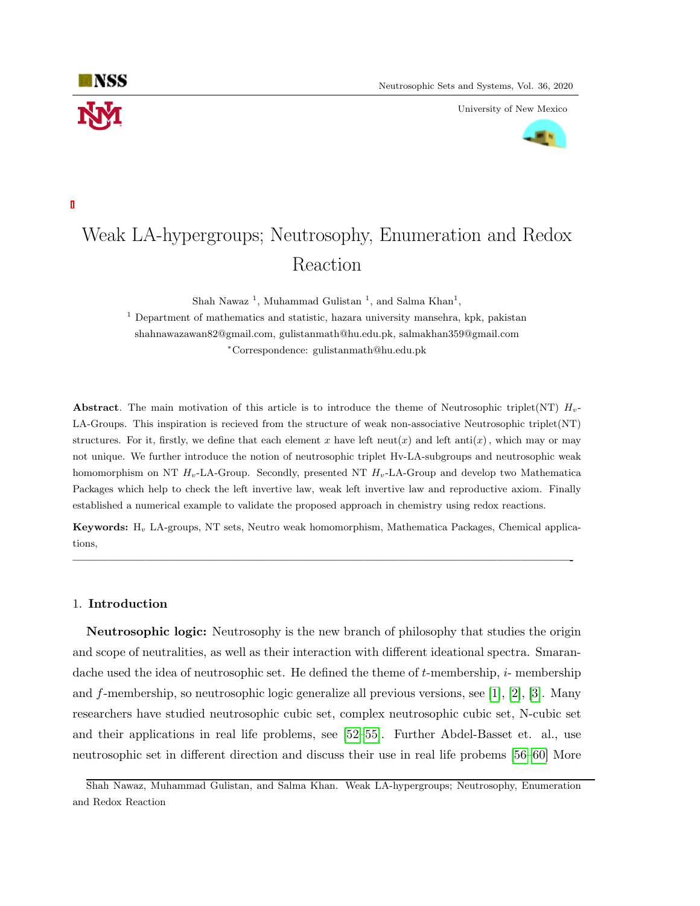University of New Mexico



# Weak LA-hypergroups; Neutrosophy, Enumeration and Redox Reaction

Shah Nawaz<sup>1</sup>, Muhammad Gulistan<sup>1</sup>, and Salma Khan<sup>1</sup>,

<sup>1</sup> Department of mathematics and statistic, hazara university mansehra, kpk, pakistan shahnawazawan82@gmail.com, gulistanmath@hu.edu.pk, salmakhan359@gmail.com <sup>∗</sup>Correspondence: gulistanmath@hu.edu.pk

Abstract. The main motivation of this article is to introduce the theme of Neutrosophic triplet(NT)  $H_v$ -LA-Groups. This inspiration is recieved from the structure of weak non-associative Neutrosophic triplet(NT) structures. For it, firstly, we define that each element x have left neut(x) and left anti(x), which may or may not unique. We further introduce the notion of neutrosophic triplet Hv-LA-subgroups and neutrosophic weak homomorphism on NT  $H_v$ -LA-Group. Secondly, presented NT  $H_v$ -LA-Group and develop two Mathematica Packages which help to check the left invertive law, weak left invertive law and reproductive axiom. Finally established a numerical example to validate the proposed approach in chemistry using redox reactions.

Keywords: H<sup>v</sup> LA-groups, NT sets, Neutro weak homomorphism, Mathematica Packages, Chemical applications,

—————————————————————————————————————————-

## 1. Introduction

**NSS** 

Neutrosophic logic: Neutrosophy is the new branch of philosophy that studies the origin and scope of neutralities, as well as their interaction with different ideational spectra. Smarandache used the idea of neutrosophic set. He defined the theme of  $t$ -membership,  $i$ -membership and f-membership, so neutrosophic logic generalize all previous versions, see [\[1\]](#page-14-0), [\[2\]](#page-14-1), [\[3\]](#page-14-2). Many researchers have studied neutrosophic cubic set, complex neutrosophic cubic set, N-cubic set and their applications in real life problems, see [\[52–](#page-16-0)[55\]](#page-16-1). Further Abdel-Basset et. al., use neutrosophic set in different direction and discuss their use in real life probems [\[56–](#page-16-2)[60\]](#page-16-3) More

Shah Nawaz, Muhammad Gulistan, and Salma Khan. Weak LA-hypergroups; Neutrosophy, Enumeration and Redox Reaction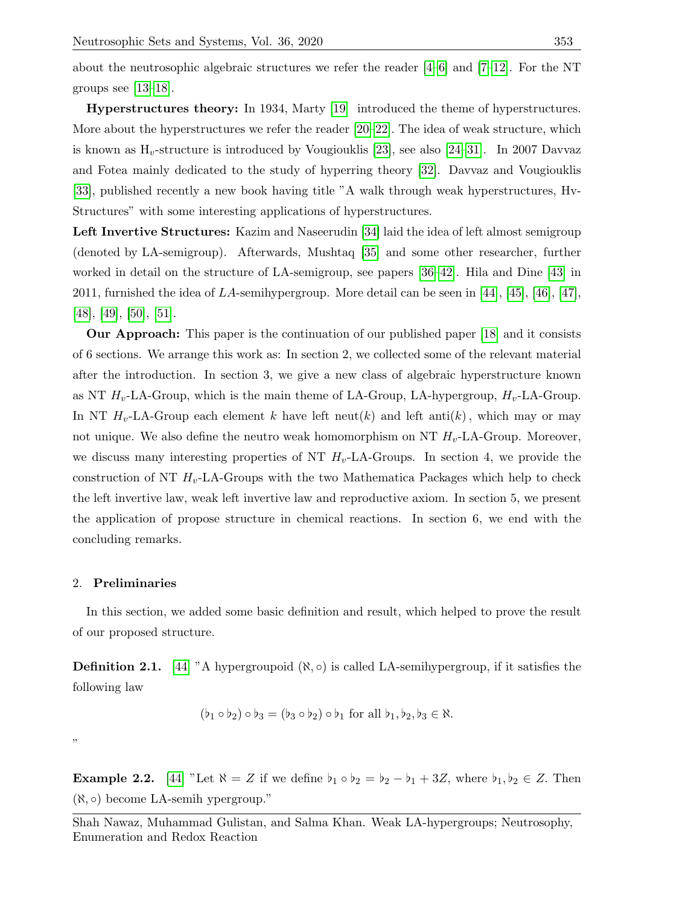about the neutrosophic algebraic structures we refer the reader  $[4-6]$  $[4-6]$  and  $[7-12]$  $[7-12]$ . For the NT groups see  $[13-18]$  $[13-18]$ .

Hyperstructures theory: In 1934, Marty [\[19\]](#page-14-9) introduced the theme of hyperstructures. More about the hyperstructures we refer the reader  $[20-22]$  $[20-22]$ . The idea of weak structure, which is known as  $H_v$ -structure is introduced by Vougiouklis [\[23\]](#page-14-12), see also [\[24–](#page-15-0)[31\]](#page-15-1). In 2007 Davvaz and Fotea mainly dedicated to the study of hyperring theory [\[32\]](#page-15-2). Davvaz and Vougiouklis [\[33\]](#page-15-3), published recently a new book having title "A walk through weak hyperstructures, Hv-Structures" with some interesting applications of hyperstructures.

Left Invertive Structures: Kazim and Naseerudin [\[34\]](#page-15-4) laid the idea of left almost semigroup (denoted by LA-semigroup). Afterwards, Mushtaq [\[35\]](#page-15-5) and some other researcher, further worked in detail on the structure of LA-semigroup, see papers [\[36–](#page-15-6)[42\]](#page-15-7). Hila and Dine [\[43\]](#page-15-8) in 2011, furnished the idea of LA-semihypergroup. More detail can be seen in [\[44\]](#page-15-9), [\[45\]](#page-15-10), [\[46\]](#page-15-11), [\[47\]](#page-15-12), [\[48\]](#page-15-13), [\[49\]](#page-15-14), [\[50\]](#page-15-15), [\[51\]](#page-16-4).

Our Approach: This paper is the continuation of our published paper [\[18\]](#page-14-8) and it consists of 6 sections. We arrange this work as: In section 2, we collected some of the relevant material after the introduction. In section 3, we give a new class of algebraic hyperstructure known as NT  $H_v$ -LA-Group, which is the main theme of LA-Group, LA-hypergroup,  $H_v$ -LA-Group. In NT  $H_v$ -LA-Group each element k have left neut(k) and left anti(k), which may or may not unique. We also define the neutro weak homomorphism on NT  $H_v$ -LA-Group. Moreover, we discuss many interesting properties of NT  $H_v$ -LA-Groups. In section 4, we provide the construction of NT  $H_v$ -LA-Groups with the two Mathematica Packages which help to check the left invertive law, weak left invertive law and reproductive axiom. In section 5, we present the application of propose structure in chemical reactions. In section 6, we end with the concluding remarks.

## 2. Preliminaries

In this section, we added some basic definition and result, which helped to prove the result of our proposed structure.

**Definition 2.1.** [\[44\]](#page-15-9) "A hypergroupoid  $(\aleph, \circ)$  is called LA-semihypergroup, if it satisfies the following law

$$
(\flat_1 \circ \flat_2) \circ \flat_3 = (\flat_3 \circ \flat_2) \circ \flat_1 \text{ for all } \flat_1, \flat_2, \flat_3 \in \aleph.
$$

"

**Example 2.2.** [\[44\]](#page-15-9) "Let  $\aleph = Z$  if we define  $b_1 \circ b_2 = b_2 - b_1 + 3Z$ , where  $b_1, b_2 \in Z$ . Then  $(\aleph, \circ)$  become LA-semih ypergroup."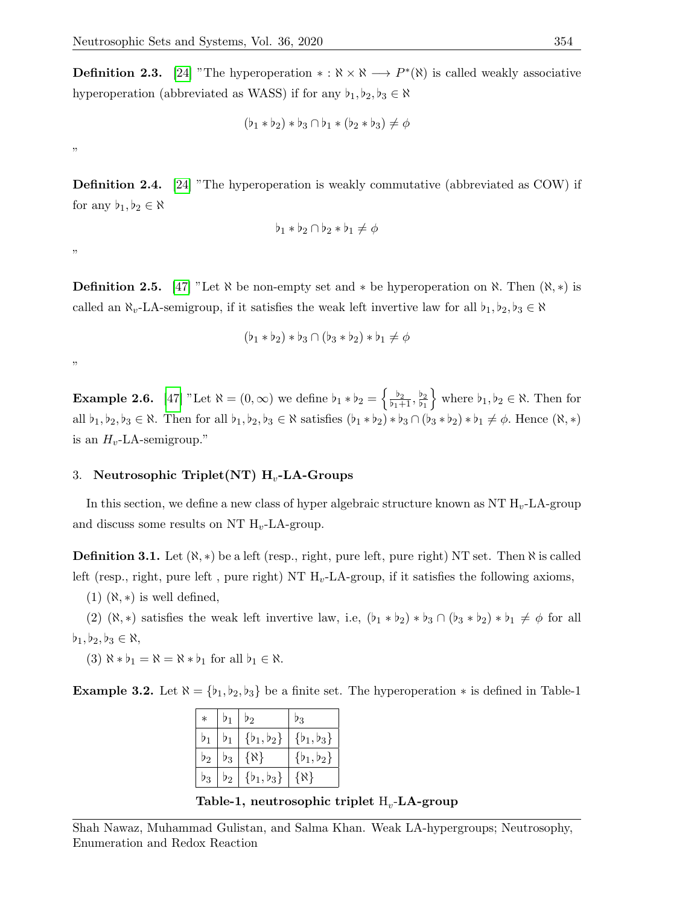**Definition 2.3.** [\[24\]](#page-15-0) "The hyperoperation  $* : \aleph \times \aleph \longrightarrow P^*(\aleph)$  is called weakly associative hyperoperation (abbreviated as WASS) if for any  $b_1, b_2, b_3 \in \aleph$ 

$$
(\flat_1 * \flat_2) * \flat_3 \cap \flat_1 * (\flat_2 * \flat_3) \neq \phi
$$

"

**Definition 2.4.** [\[24\]](#page-15-0) "The hyperoperation is weakly commutative (abbreviated as COW) if for any  $b_1, b_2 \in \aleph$ 

$$
\flat_1 * \flat_2 \cap \flat_2 * \flat_1 \neq \phi
$$

"

**Definition 2.5.** [\[47\]](#page-15-12) "Let  $\aleph$  be non-empty set and  $*$  be hyperoperation on  $\aleph$ . Then  $(\aleph, *)$  is called an  $\aleph_v$ -LA-semigroup, if it satisfies the weak left invertive law for all  $\flat_1, \flat_2, \flat_3 \in \aleph$ 

$$
(\flat_1 * \flat_2) * \flat_3 \cap (\flat_3 * \flat_2) * \flat_1 \neq \emptyset
$$

"

**Example 2.6.** [\[47\]](#page-15-12) "Let  $\aleph = (0, \infty)$  we define  $b_1 * b_2 = \begin{cases} \frac{b_2}{b_1 + 1}, \frac{b_2}{b_1} \end{cases}$  $\flat_1$ where  $b_1, b_2 \in \aleph$ . Then for all  $\flat_1, \flat_2, \flat_3 \in \aleph$ . Then for all  $\flat_1, \flat_2, \flat_3 \in \aleph$  satisfies  $(\flat_1 * \flat_2) * \flat_3 \cap (\flat_3 * \flat_2) * \flat_1 \neq \emptyset$ . Hence  $(\aleph, *)$ is an  $H_v$ -LA-semigroup."

#### 3. Neutrosophic Triplet(NT)  $H_v$ -LA-Groups

In this section, we define a new class of hyper algebraic structure known as NT  $H_v$ -LA-group and discuss some results on NT  $H_v$ -LA-group.

**Definition 3.1.** Let  $(\aleph, *)$  be a left (resp., right, pure left, pure right) NT set. Then  $\aleph$  is called left (resp., right, pure left, pure right) NT  $H_v$ -LA-group, if it satisfies the following axioms,

 $(1)$   $(\aleph, *)$  is well defined,

(2) ( $\aleph, \ast$ ) satisfies the weak left invertive law, i.e,  $(b_1 * b_2) * b_3 \cap (b_3 * b_2) * b_1 \neq \emptyset$  for all  $b_1, b_2, b_3 \in \aleph,$ 

(3)  $\aleph * b_1 = \aleph = \aleph * b_1$  for all  $b_1 \in \aleph$ .

**Example 3.2.** Let  $\aleph = {\b_1, b_2, b_3}$  be a finite set. The hyperoperation  $*$  is defined in Table-1

| $\ast$           | D1 | $^{\prime}2$          | '3                    |
|------------------|----|-----------------------|-----------------------|
|                  | D1 | ${b_1, b_2}$          | $\{\flat_1,\flat_3\}$ |
| $\mathfrak{p}_2$ | 03 | {א}                   | $\{b_1, b_2\}$        |
| $\mathfrak{p}_3$ | 02 | $\{\flat_1,\flat_3\}$ | {W.                   |

Table-1, neutrosophic triplet  $\boldsymbol{\mathrm{H}}_v\text{-}\mathbf{L}\mathbf{A}\text{-}\mathbf{group}$ 

Shah Nawaz, Muhammad Gulistan, and Salma Khan. Weak LA-hypergroups; Neutrosophy, Enumeration and Redox Reaction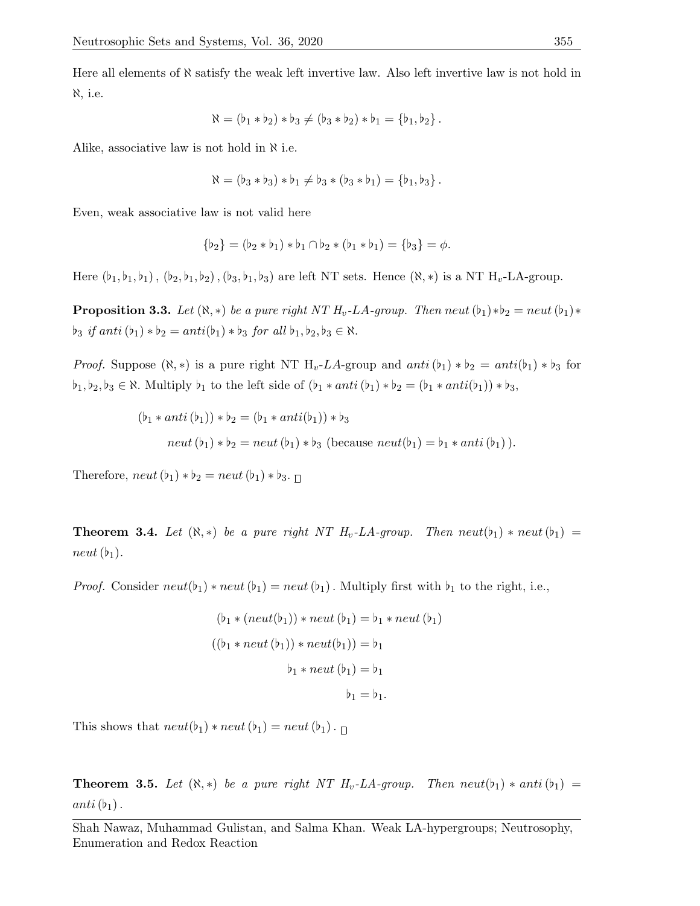Here all elements of  $\aleph$  satisfy the weak left invertive law. Also left invertive law is not hold in ℵ, i.e.

$$
\aleph = (\flat_1 * \flat_2) * \flat_3 \neq (\flat_3 * \flat_2) * \flat_1 = \{\flat_1, \flat_2\}.
$$

Alike, associative law is not hold in  $\aleph$  i.e.

$$
\aleph = (\flat_3 * \flat_3) * \flat_1 \neq \flat_3 * (\flat_3 * \flat_1) = \{\flat_1, \flat_3\}.
$$

Even, weak associative law is not valid here

$$
\{\flat_2\} = (\flat_2 * \flat_1) * \flat_1 \cap \flat_2 * (\flat_1 * \flat_1) = \{\flat_3\} = \phi.
$$

Here  $(b_1, b_1, b_1)$ ,  $(b_2, b_1, b_2)$ ,  $(b_3, b_1, b_3)$  are left NT sets. Hence  $(\aleph, *)$  is a NT H<sub>v</sub>-LA-group.

**Proposition 3.3.** Let  $(\aleph, *)$  be a pure right NT  $H_v$ -LA-group. Then neut  $(b_1)*b_2 = new(b_1)*b_2$  $\flat_3$  if anti  $(\flat_1) * \flat_2 = anti(\flat_1) * \flat_3$  for all  $\flat_1, \flat_2, \flat_3 \in \aleph$ .

*Proof.* Suppose  $(\aleph, *)$  is a pure right NT H<sub>v</sub>-LA-group and anti $(b_1) * b_2 = anti(b_1) * b_3$  for  $[\mathfrak{b}_1, \mathfrak{b}_2, \mathfrak{b}_3 \in \mathbb{N}$ . Multiply  $\mathfrak{b}_1$  to the left side of  $(\mathfrak{b}_1 * anti(\mathfrak{b}_1) * \mathfrak{b}_2 = (\mathfrak{b}_1 * anti(\mathfrak{b}_1)) * \mathfrak{b}_3$ ,

$$
(b_1 * anti (b_1)) * b_2 = (b_1 * anti(b_1)) * b_3
$$
  
neut 
$$
(b_1) * b_2 = neut (b_1) * b_3
$$
 (because  $neut(b_1) = b_1 * anti (b_1)$ ).

Therefore,  $neut(b_1) * b_2 = neut(b_1) * b_3.$ 

**Theorem 3.4.** Let  $(\aleph, *)$  be a pure right NT  $H_v$ -LA-group. Then neut( $b_1$ ) \* neut( $b_1$ ) = neut  $(b_1)$ .

*Proof.* Consider  $neut(b_1) * neut(b_1) = neut(b_1)$ . Multiply first with  $b_1$  to the right, i.e.,

$$
(\mathfrak{b}_1 * (neut(\mathfrak{b}_1)) * neut(\mathfrak{b}_1) = \mathfrak{b}_1 * neut(\mathfrak{b}_1)
$$
  

$$
((\mathfrak{b}_1 * neut(\mathfrak{b}_1)) * neut(\mathfrak{b}_1)) = \mathfrak{b}_1
$$
  

$$
\mathfrak{b}_1 * neut(\mathfrak{b}_1) = \mathfrak{b}_1
$$
  

$$
\mathfrak{b}_1 = \mathfrak{b}_1.
$$

This shows that  $neut(b_1) * neut(b_1) = neut(b_1)$ .

<span id="page-3-0"></span>**Theorem 3.5.** Let  $(\aleph, *)$  be a pure right NT  $H_v$ -LA-group. Then neut $(b_1) * anti(b_1) =$  $anti(b<sub>1</sub>)$ .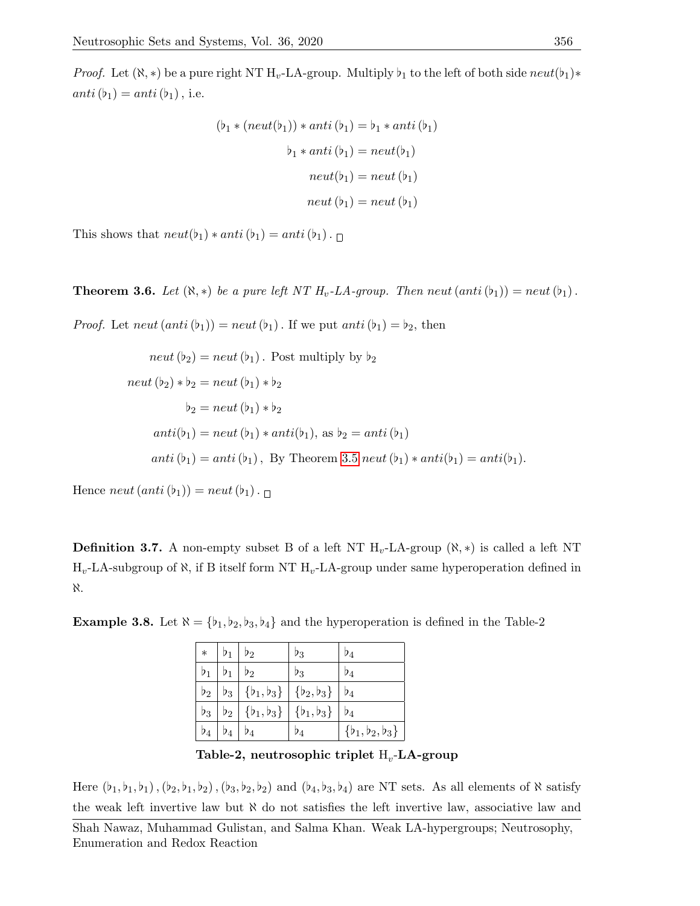*Proof.* Let  $(\aleph, *)$  be a pure right NT H<sub>v</sub>-LA-group. Multiply  $b_1$  to the left of both side neut $(b_1)*$  $anti(b<sub>1</sub>) = anti(b<sub>1</sub>)$ , i.e.

$$
(\flat_1 * (neut(\flat_1)) * anti (\flat_1) = \flat_1 * anti (\flat_1)
$$

$$
\flat_1 * anti (\flat_1) = neut(\flat_1)
$$

$$
neut(\flat_1) = neut (\flat_1)
$$

$$
neut (\flat_1) = neut (\flat_1)
$$

$$
neut (\flat_1) = neut (\flat_1)
$$

This shows that  $neut(b_1) * anti(b_1) = anti(b_1)$ .

**Theorem 3.6.** Let  $(\aleph, *)$  be a pure left NT  $H_v$ -LA-group. Then neut  $(anti(b_1)) = neut(b_1)$ .

*Proof.* Let neut  $(anti(b_1)) = neut(b_1)$ . If we put anti  $(b_1) = b_2$ , then

$$
neut (b2) = neut (b1) . Post multiply by b2
$$
  
\n
$$
neut (b2) * b2 = neut (b1) * b2
$$
  
\n
$$
b2 = neut (b1) * b2
$$
  
\n
$$
anti(b1) = neut (b1) * anti(b1), as b2 = anti(b1)
$$
  
\n
$$
anti (b1) = anti (b1), By Theorem 3.5 neut (b1) * anti(b1) = anti(b1).
$$

Hence neut  $(anti(b_1)) = neut(b_1)$ .

**Definition 3.7.** A non-empty subset B of a left NT  $H_v$ -LA-group  $(\aleph, *)$  is called a left NT  $H_v$ -LA-subgroup of  $\aleph$ , if B itself form NT  $H_v$ -LA-group under same hyperoperation defined in ℵ.

| $\ast$    | $b_{1}$          | $\mathfrak{p}_2$ | D3                            | $\mathfrak{d}_4$              |
|-----------|------------------|------------------|-------------------------------|-------------------------------|
| $\flat_1$ |                  | $\flat_2$        | Þ3                            | Þ4                            |
| $\flat_2$ | $b_3$            |                  | $\{b_1, b_3\}   \{b_2, b_3\}$ | $\mathfrak{d}_4$              |
| $\flat_3$ | $b_2$            | $\{b_1, b_3\}$   | $\{b_1, b_3\}$                | $\mathsf{p}_4$                |
| $\flat_4$ | $\mathfrak{d}_4$ | $\flat_4$        | $\mathfrak{b}_4$              | $\{\flat_1,\flat_2,\flat_3\}$ |

**Example 3.8.** Let  $\aleph = {\b_1, b_2, b_3, b_4}$  and the hyperoperation is defined in the Table-2

Table-2, neutrosophic triplet  $\boldsymbol{\mathrm{H}}_v\text{-}\mathbf{L}\mathbf{A}\text{-}\mathbf{group}$ 

Here  $(b_1, b_1, b_1), (b_2, b_1, b_2), (b_3, b_2, b_2)$  and  $(b_4, b_3, b_4)$  are NT sets. As all elements of  $\aleph$  satisfy the weak left invertive law but  $\aleph$  do not satisfies the left invertive law, associative law and

Shah Nawaz, Muhammad Gulistan, and Salma Khan. Weak LA-hypergroups; Neutrosophy, Enumeration and Redox Reaction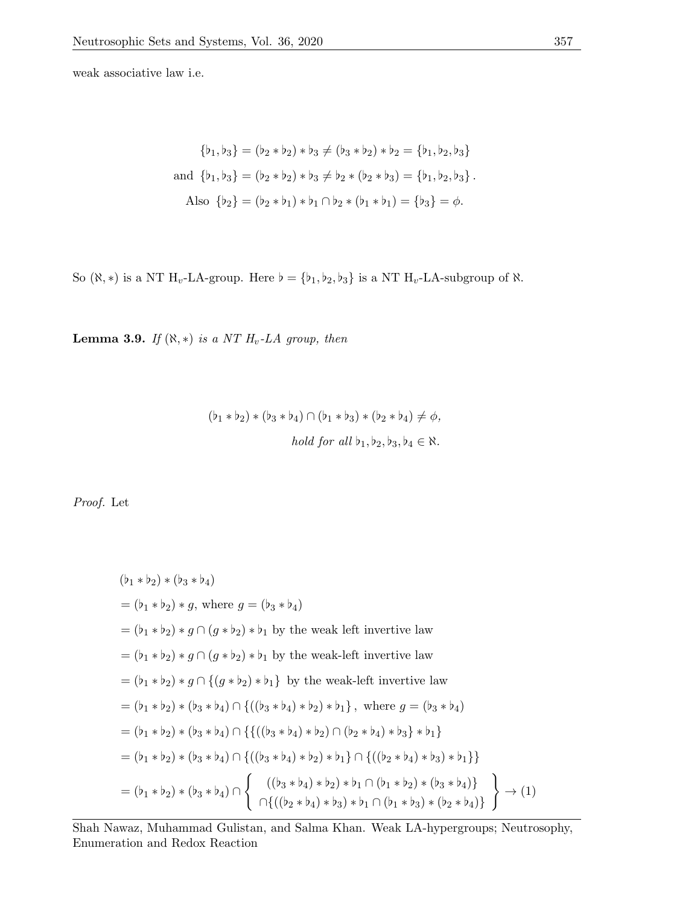weak associative law i.e.

$$
\{b_1, b_3\} = (b_2 * b_2) * b_3 \neq (b_3 * b_2) * b_2 = \{b_1, b_2, b_3\}
$$
  
and 
$$
\{b_1, b_3\} = (b_2 * b_2) * b_3 \neq b_2 * (b_2 * b_3) = \{b_1, b_2, b_3\}.
$$
  
Also 
$$
\{b_2\} = (b_2 * b_1) * b_1 \cap b_2 * (b_1 * b_1) = \{b_3\} = \phi.
$$

So ( $\aleph, \ast$ ) is a NT  $H_v$ -LA-group. Here  $\flat = {\flat_1, \flat_2, \flat_3}$  is a NT  $H_v$ -LA-subgroup of  $\aleph$ .

Lemma 3.9. If  $(\aleph, *)$  is a NT  $H_v$ -LA group, then

$$
(b_1 * b_2) * (b_3 * b_4) \cap (b_1 * b_3) * (b_2 * b_4) \neq \phi,
$$
  
*hold for all*  $b_1, b_2, b_3, b_4 \in \aleph$ .

Proof. Let

$$
(b_1 * b_2) * (b_3 * b_4)
$$
  
=  $(b_1 * b_2) * g$ , where  $g = (b_3 * b_4)$   
=  $(b_1 * b_2) * g \cap (g * b_2) * b_1$  by the weak left invertive law  
=  $(b_1 * b_2) * g \cap (g * b_2) * b_1$  by the weak-left invertive law  
=  $(b_1 * b_2) * g \cap \{(g * b_2) * b_1\}$  by the weak-left invertive law  
=  $(b_1 * b_2) * (b_3 * b_4) \cap \{((b_3 * b_4) * b_2) * b_1\}$ , where  $g = (b_3 * b_4)$   
=  $(b_1 * b_2) * (b_3 * b_4) \cap \{((b_3 * b_4) * b_2) \cap (b_2 * b_4) * b_3\} * b_1\}$   
=  $(b_1 * b_2) * (b_3 * b_4) \cap \{((b_3 * b_4) * b_2) * b_1\} \cap \{((b_2 * b_4) * b_3) * b_1\}\}$   
=  $(b_1 * b_2) * (b_3 * b_4) \cap \{((b_3 * b_4) * b_2) * b_1 \cap (b_1 * b_2) * (b_3 * b_4)\}$   
=  $(b_1 * b_2) * (b_3 * b_4) \cap \{((b_2 * b_4) * b_3) * b_1 \cap (b_1 * b_3) * (b_2 * b_4)\}$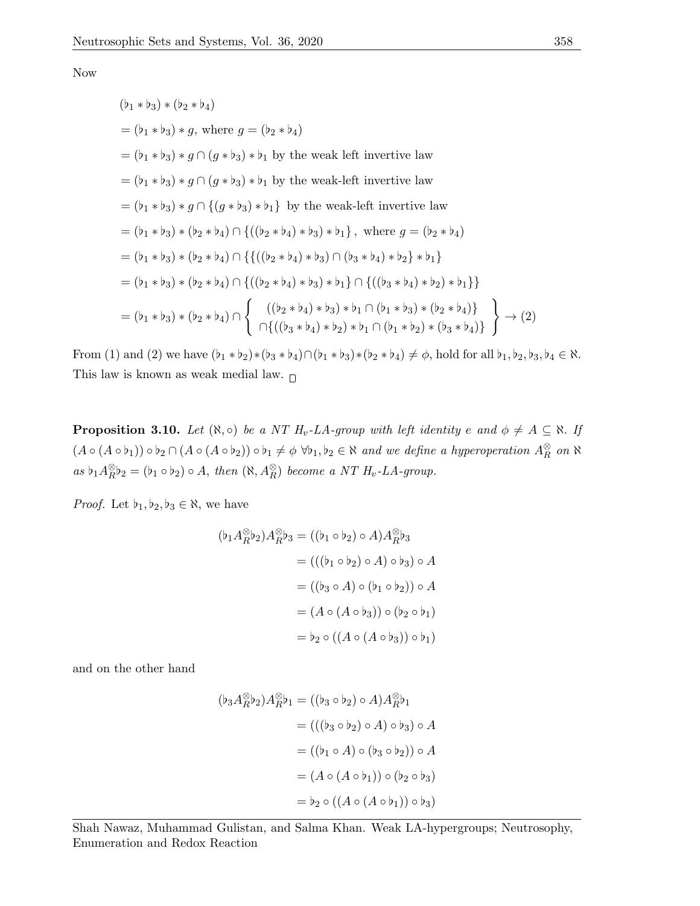Now

$$
(b_1 * b_3) * (b_2 * b_4)
$$
  
=  $(b_1 * b_3) * g$ , where  $g = (b_2 * b_4)$   
=  $(b_1 * b_3) * g \cap (g * b_3) * b_1$  by the weak left invertive law  
=  $(b_1 * b_3) * g \cap (g * b_3) * b_1$  by the weak-left invertive law  
=  $(b_1 * b_3) * g \cap \{(g * b_3) * b_1\}$  by the weak-left invertive law  
=  $(b_1 * b_3) * (b_2 * b_4) \cap \{((b_2 * b_4) * b_3) * b_1\}$ , where  $g = (b_2 * b_4)$   
=  $(b_1 * b_3) * (b_2 * b_4) \cap \{((b_2 * b_4) * b_3) \cap (b_3 * b_4) * b_2\} * b_1\}$   
=  $(b_1 * b_3) * (b_2 * b_4) \cap \{((b_2 * b_4) * b_3) * b_1\} \cap \{((b_3 * b_4) * b_2) * b_1\}\}$   
=  $(b_1 * b_3) * (b_2 * b_4) \cap \{((b_2 * b_4) * b_3) * b_1 \cap (b_1 * b_3) * (b_2 * b_4)\}\$   
=  $(b_1 * b_3) * (b_2 * b_4) \cap \{((b_2 * b_4) * b_3) * b_1 \cap (b_1 * b_3) * (b_2 * b_4)\}\$ 

From (1) and (2) we have  $(b_1 * b_2) * (b_3 * b_4) \cap (b_1 * b_3) * (b_2 * b_4) \neq \emptyset$ , hold for all  $b_1, b_2, b_3, b_4 \in \aleph$ . This law is known as weak medial law.  $_\Box$ 

**Proposition 3.10.** Let  $(\aleph, \circ)$  be a NT  $H_v$ -LA-group with left identity e and  $\phi \neq A \subseteq \aleph$ . If  $(A \circ (A \circ b_1)) \circ b_2 \cap (A \circ (A \circ b_2)) \circ b_1 \neq \emptyset \; \forall b_1, b_2 \in \aleph \text{ and we define a hyperoperation } A_R^{\otimes}$  $\frac{\infty}{R}$  on  $\aleph$ as  $\flat_1 A_R^{\otimes}$  ${}_{R}^{\otimes}b_2 = (b_1 \circ b_2) \circ A$ , then  $(\aleph, A_R^{\otimes})$  become a NT  $H_v$ -LA-group.

*Proof.* Let  $\flat_1, \flat_2, \flat_3 \in \aleph$ , we have

$$
(\flat_1 A_R^{\otimes} \flat_2) A_R^{\otimes} \flat_3 = ((\flat_1 \circ \flat_2) \circ A) A_R^{\otimes} \flat_3
$$
  

$$
= (((\flat_1 \circ \flat_2) \circ A) \circ \flat_3) \circ A
$$
  

$$
= ((\flat_3 \circ A) \circ (\flat_1 \circ \flat_2)) \circ A
$$
  

$$
= (A \circ (A \circ \flat_3)) \circ (\flat_2 \circ \flat_1)
$$
  

$$
= \flat_2 \circ ((A \circ (A \circ \flat_3)) \circ \flat_1)
$$

and on the other hand

$$
(\mathfrak{b}_3 A_R^{\otimes} \mathfrak{b}_2) A_R^{\otimes} \mathfrak{b}_1 = ((\mathfrak{b}_3 \circ \mathfrak{b}_2) \circ A) A_R^{\otimes} \mathfrak{b}_1
$$
  

$$
= (((\mathfrak{b}_3 \circ \mathfrak{b}_2) \circ A) \circ \mathfrak{b}_3) \circ A
$$
  

$$
= ((\mathfrak{b}_1 \circ A) \circ (\mathfrak{b}_3 \circ \mathfrak{b}_2)) \circ A
$$
  

$$
= (A \circ (A \circ \mathfrak{b}_1)) \circ (\mathfrak{b}_2 \circ \mathfrak{b}_3)
$$
  

$$
= \mathfrak{b}_2 \circ ((A \circ (A \circ \mathfrak{b}_1)) \circ \mathfrak{b}_3)
$$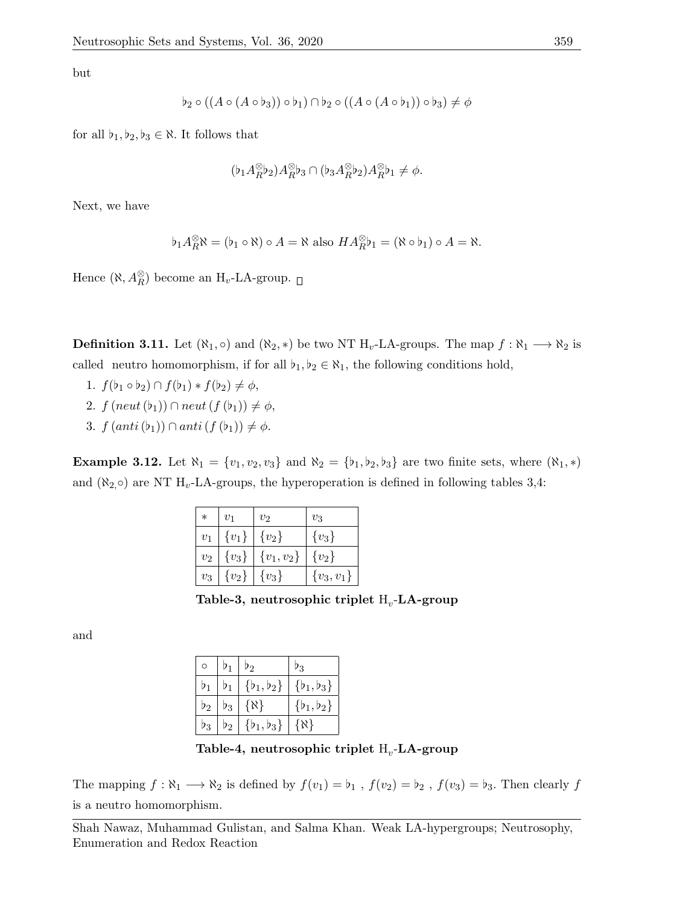but

$$
\flat_2 \circ ((A \circ (A \circ \flat_3)) \circ \flat_1) \cap \flat_2 \circ ((A \circ (A \circ \flat_1)) \circ \flat_3) \neq \phi
$$

for all  $\flat_1, \flat_2, \flat_3 \in \aleph$ . It follows that

$$
(\flat_1 A_R^{\otimes} \flat_2) A_R^{\otimes} \flat_3 \cap (\flat_3 A_R^{\otimes} \flat_2) A_R^{\otimes} \flat_1 \neq \phi.
$$

Next, we have

$$
\flat_1 A_R^{\otimes} \aleph = (\flat_1 \circ \aleph) \circ A = \aleph \text{ also } HA_R^{\otimes} \flat_1 = (\aleph \circ \flat_1) \circ A = \aleph.
$$

Hence  $(\aleph, A_R^{\otimes})$  become an  $\mathrm{H}_v$ -LA-group.

**Definition 3.11.** Let  $(\aleph_1, \circ)$  and  $(\aleph_2, *)$  be two NT  $H_v$ -LA-groups. The map  $f : \aleph_1 \longrightarrow \aleph_2$  is called neutro homomorphism, if for all  $b_1, b_2 \in \aleph_1$ , the following conditions hold,

- 1.  $f(\flat_1 \circ \flat_2) \cap f(\flat_1) * f(\flat_2) \neq \phi$ ,
- 2.  $f$  (neut (b<sub>1</sub>))  $\cap$  neut (f (b<sub>1</sub>))  $\neq \phi$ ,
- 3.  $f (anti(b_1)) \cap anti(f(b_1)) \neq \phi$ .

Example 3.12. Let  $\aleph_1 = \{v_1, v_2, v_3\}$  and  $\aleph_2 = \{b_1, b_2, b_3\}$  are two finite sets, where  $(\aleph_1, *)$ and  $(\aleph_{2,} \circ)$  are NT H<sub>v</sub>-LA-groups, the hyperoperation is defined in following tables 3,4:

| $\ast$ | $\overline{v}_1$ | $v_2$        | $v_3$          |
|--------|------------------|--------------|----------------|
| $v_1$  | $\{v_1\}$        | $\{v_2\}$    | $\{v_3\}$      |
| $v_2$  | ${v_3}$          | ${v_1,v_2\}$ | $\{v_2\}$      |
| $v_3$  | $\{v_2\}$        | $\{v_3\}$    | $\{v_3, v_1\}$ |

Table-3, neutrosophic triplet  $\mathrm{H}_{v}$ -LA-group

and

|           |           | $\mathfrak{p}_2$ | 23             |
|-----------|-----------|------------------|----------------|
|           |           | $\{b_1, b_2\}$   | $\{b_1, b_3\}$ |
| $\flat_2$ | $\flat_3$ | $\{ \aleph \}$   | $\{b_1, b_2\}$ |
| $\nu_3$   | $b_2$     | $\{b_1, b_3\}$   | {X}            |

Table-4, neutrosophic triplet  $\boldsymbol{\mathrm{H}}_v\text{-}\mathbf{L}\mathbf{A}\text{-}\mathbf{group}$ 

The mapping  $f : \aleph_1 \longrightarrow \aleph_2$  is defined by  $f(v_1) = \flat_1$ ,  $f(v_2) = \flat_2$ ,  $f(v_3) = \flat_3$ . Then clearly f is a neutro homomorphism.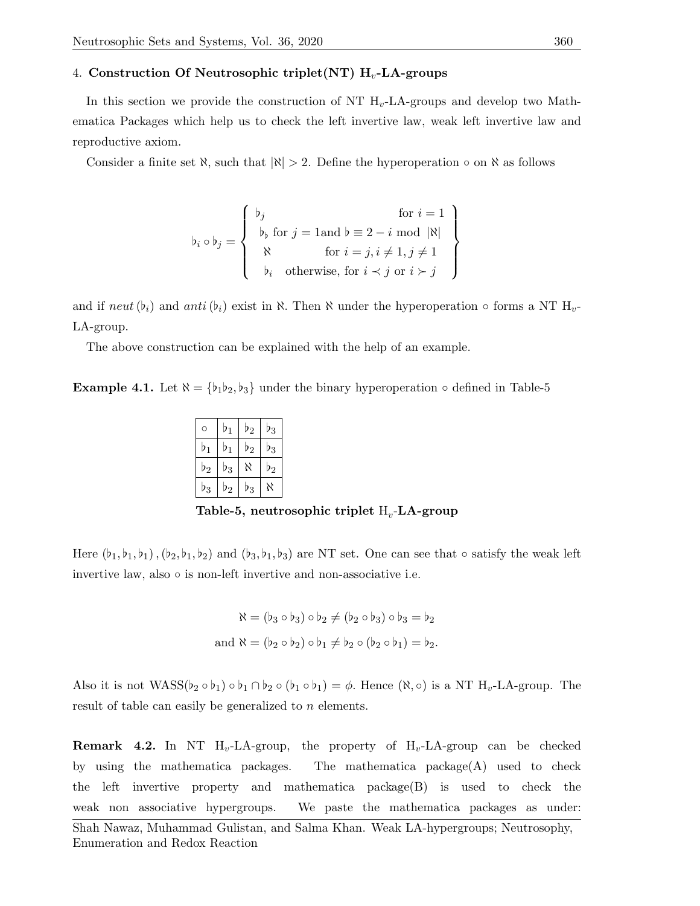### 4. Construction Of Neutrosophic triplet(NT)  $H_v$ -LA-groups

In this section we provide the construction of NT  $H_v$ -LA-groups and develop two Mathematica Packages which help us to check the left invertive law, weak left invertive law and reproductive axiom.

Consider a finite set  $\aleph$ , such that  $|\aleph| > 2$ . Define the hyperoperation  $\circ$  on  $\aleph$  as follows

$$
\mathbf{b}_{i} \circ \mathbf{b}_{j} = \left\{ \begin{array}{c} \mathbf{b}_{j} & \text{for } i = 1 \\ \mathbf{b}_{\mathbf{b}} \text{ for } j = 1 \text{ and } \mathbf{b} \equiv 2 - i \text{ mod } |\mathbf{N}| \\ \mathbf{N} & \text{for } i = j, i \neq 1, j \neq 1 \\ \mathbf{b}_{i} & \text{otherwise, for } i \prec j \text{ or } i \succ j \end{array} \right\}
$$

and if neut  $(b_i)$  and anti  $(b_i)$  exist in  $\aleph$ . Then  $\aleph$  under the hyperoperation  $\circ$  forms a NT  $H_v$ -LA-group.

The above construction can be explained with the help of an example.

**Example 4.1.** Let  $\aleph = {\b_1b_2, b_3}$  under the binary hyperoperation  $\circ$  defined in Table-5

| O              | $\flat_1$        | $b_{2}$ | D3               |
|----------------|------------------|---------|------------------|
| $\flat_1$      | $b_1$            | $\nu_2$ | D3               |
| b <sub>2</sub> | Þ3               | K       | $\mathfrak{p}_2$ |
| $b_3$          | $\mathfrak{p}_2$ | Þ3      | Ν                |

Table-5, neutrosophic triplet  $\boldsymbol{\mathrm{H}}_v\text{-}\mathbf{L}\mathbf{A}\text{-}\mathbf{group}$ 

Here  $(b_1, b_1, b_1), (b_2, b_1, b_2)$  and  $(b_3, b_1, b_3)$  are NT set. One can see that  $\circ$  satisfy the weak left invertive law, also  $\circ$  is non-left invertive and non-associative i.e.

$$
\aleph = (b_3 \circ b_3) \circ b_2 \neq (b_2 \circ b_3) \circ b_3 = b_2
$$
  
and 
$$
\aleph = (b_2 \circ b_2) \circ b_1 \neq b_2 \circ (b_2 \circ b_1) = b_2.
$$

Also it is not  $WASS(b_2 \circ b_1) \circ b_1 \cap b_2 \circ (b_1 \circ b_1) = \phi$ . Hence  $(\aleph, \circ)$  is a NT  $H_v$ -LA-group. The result of table can easily be generalized to n elements.

**Remark 4.2.** In NT  $H_v$ -LA-group, the property of  $H_v$ -LA-group can be checked by using the mathematica packages. The mathematica package(A) used to check the left invertive property and mathematica package(B) is used to check the weak non associative hypergroups. We paste the mathematica packages as under:

Shah Nawaz, Muhammad Gulistan, and Salma Khan. Weak LA-hypergroups; Neutrosophy, Enumeration and Redox Reaction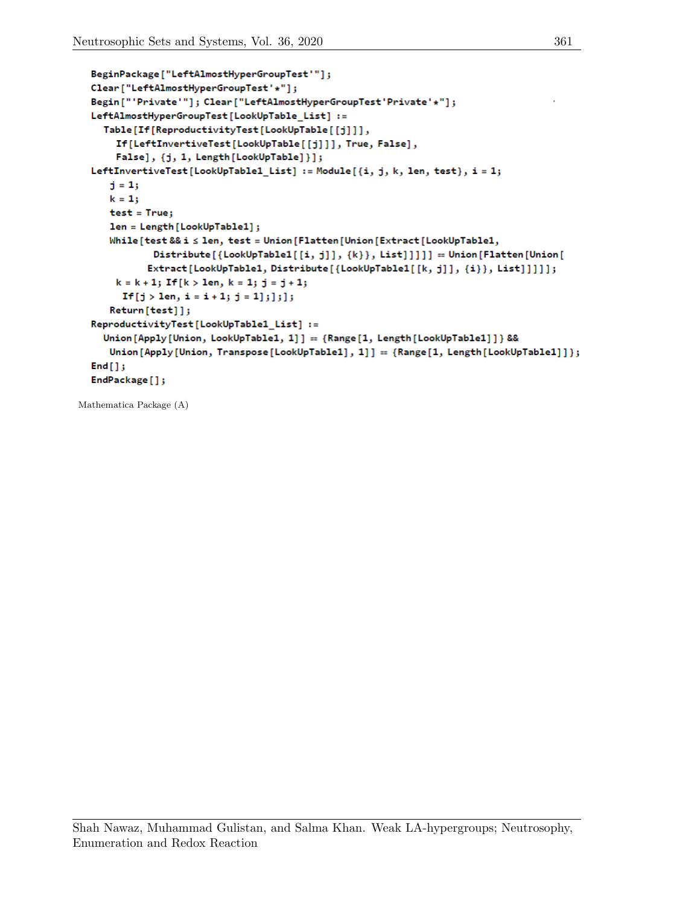```
BeginPackage["LeftAlmostHyperGroupTest'"];
Clear["LeftAlmostHyperGroupTest'*"];
Begin["'Private'"]; Clear["LeftAlmostHyperGroupTest'Private'*"];
LeftAlmostHyperGroupTest[LookUpTable_List] :=
  Table[If[ReproductivityTest[LookUpTable[[j]]],
    If[LeftInvertiveTest[LookUpTable[[j]]], True, False],
    False], {j, 1, Length [LookUpTable]}];
LeftInvertiveTest[LookUpTable1_List] := Module[{i, j, k, len, test}, i = 1;
   j = 1;k = 1;test = True;len = Length [LookUpTable1];
   While[test && i ≤ len, test = Union[Flatten[Union[Extract[LookUpTable1,
           Distribute[{LookUpTable1[[i, j]], {k}}, List]]]]] == Union [Flatten [Union [
          Extract[LookUpTable1, Distribute[{LookUpTable1[[k, j]], {i}}, List]]]]];
    k = k + 1; If [k > 1en, k = 1; j = j + 1;
     If [j > 1en, i = i + 1; j = 1]; ]; ];
   Return[test]];
ReproductivityTest[LookUpTable1_List] :=
  Union [Apply [Union, LookUpTable1, 1]] == {Range [1, Length [LookUpTable1]]} &&
   Union[Apply[Union, Transpose[LookUpTable1], 1]] == {Range[1, Length[LookUpTable1]]};
End[];
EndPackage[];
```
Mathematica Package (A)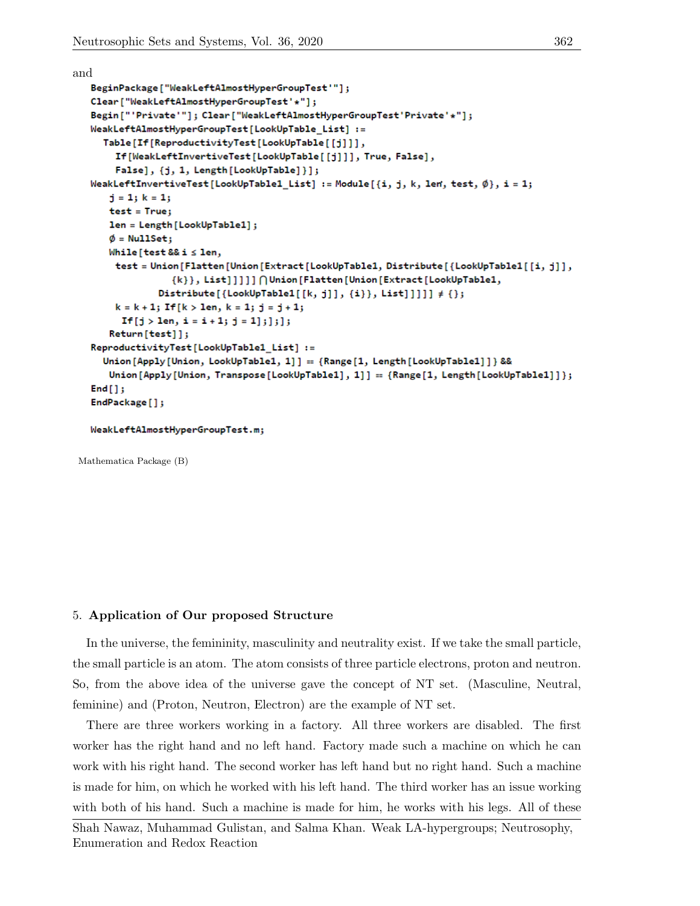```
and
   BeginPackage["WeakLeftAlmostHyperGroupTest'"];
   Clear["WeakLeftAlmostHyperGroupTest'*"];
   Begin["'Private'"];        Clear["WeakLeftAlmostHyperGroupTest'Private'*"];
   WeakLeftAlmostHyperGroupTest[LookUpTable_List] :=
     Table[If[ReproductivityTest[LookUpTable[[j]]],
        If[WeakLeftInvertiveTest[LookUpTable[[j]]], True, False],
        False], {j, 1, Length [LookUpTable]}];
   WeakLeftInvertiveTest[LookUpTable1_List] := Module[{i, j, k, len, test, \emptyset}, i = 1;
       j = 1; k = 1;test = True;
      len = Length [LookUpTable1];
      \phi = NullSet;
      While [test && i \leq len,
       test = Union[Flatten[Union[Extract[LookUpTable1, Distribute[{LookUpTable1[[i, j]],
                   {k}}, List]]]]]∩Union[Flatten[Union[Extract[LookUpTable1,
                Distribute[{LookUpTable1[[k, j]], {i}}, List]]]]] \neq {};
        k = k + 1; If [k > 1en, k = 1; j = j + 1;
         If [j > len, i = i + 1; j = 1]; j];Return[test]];
   ReproductivityTest[LookUpTable1_List] :=
     Union[Apply[Union, LookUpTable1, 1]] == {Range[1, Length[LookUpTable1]]} &&
      Union[Apply[Union, Transpose[LookUpTable1], 1]] == {Range[1, Length[LookUpTable1]]};
   End[];
   EndPackage[];
```
WeakLeftAlmostHyperGroupTest.m;

Mathematica Package (B)

### 5. Application of Our proposed Structure

In the universe, the femininity, masculinity and neutrality exist. If we take the small particle, the small particle is an atom. The atom consists of three particle electrons, proton and neutron. So, from the above idea of the universe gave the concept of NT set. (Masculine, Neutral, feminine) and (Proton, Neutron, Electron) are the example of NT set.

There are three workers working in a factory. All three workers are disabled. The first worker has the right hand and no left hand. Factory made such a machine on which he can work with his right hand. The second worker has left hand but no right hand. Such a machine is made for him, on which he worked with his left hand. The third worker has an issue working with both of his hand. Such a machine is made for him, he works with his legs. All of these

```
Shah Nawaz, Muhammad Gulistan, and Salma Khan. Weak LA-hypergroups; Neutrosophy,
Enumeration and Redox Reaction
```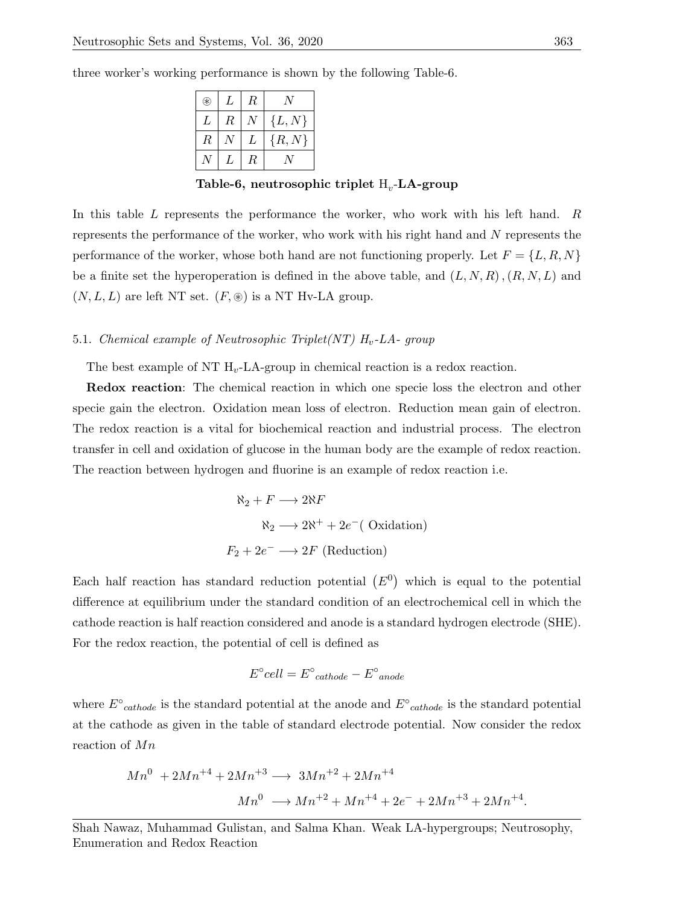three worker's working performance is shown by the following Table-6.

| ⊮  | L             | R |            |
|----|---------------|---|------------|
| L  | R             |   | $\{L, N\}$ |
| R. |               | L | $\{R,N\}$  |
|    | $\mathcal{L}$ | R |            |

Table-6, neutrosophic triplet  $\boldsymbol{\mathrm{H}}_v\text{-}\mathbf{L}\mathbf{A}\text{-}\mathbf{group}$ 

In this table L represents the performance the worker, who work with his left hand. R represents the performance of the worker, who work with his right hand and N represents the performance of the worker, whose both hand are not functioning properly. Let  $F = \{L, R, N\}$ be a finite set the hyperoperation is defined in the above table, and  $(L, N, R)$ ,  $(R, N, L)$  and  $(N, L, L)$  are left NT set.  $(F, \circledast)$  is a NT Hv-LA group.

## 5.1. Chemical example of Neutrosophic Triplet(NT)  $H_v$ -LA- group

The best example of NT  $H_{v}$ -LA-group in chemical reaction is a redox reaction.

Redox reaction: The chemical reaction in which one specie loss the electron and other specie gain the electron. Oxidation mean loss of electron. Reduction mean gain of electron. The redox reaction is a vital for biochemical reaction and industrial process. The electron transfer in cell and oxidation of glucose in the human body are the example of redox reaction. The reaction between hydrogen and fluorine is an example of redox reaction i.e.

$$
\aleph_2 + F \longrightarrow 2\aleph F
$$
  

$$
\aleph_2 \longrightarrow 2\aleph^+ + 2e^- \text{ (Oxidation)}
$$
  

$$
F_2 + 2e^- \longrightarrow 2F \text{ (Reduction)}
$$

Each half reaction has standard reduction potential  $(E^0)$  which is equal to the potential difference at equilibrium under the standard condition of an electrochemical cell in which the cathode reaction is half reaction considered and anode is a standard hydrogen electrode (SHE). For the redox reaction, the potential of cell is defined as

$$
E^{\circ}cell = E^{\circ}_{\text{ cathode}} - E^{\circ}_{\text{anode}}
$$

where  $E^{\circ}_{\text{cathode}}$  is the standard potential at the anode and  $E^{\circ}_{\text{cathode}}$  is the standard potential at the cathode as given in the table of standard electrode potential. Now consider the redox reaction of Mn

$$
Mn^{0} + 2Mn^{+4} + 2Mn^{+3} \longrightarrow 3Mn^{+2} + 2Mn^{+4}
$$

$$
Mn^{0} \longrightarrow Mn^{+2} + Mn^{+4} + 2e^{-} + 2Mn^{+3} + 2Mn^{+4}.
$$

Shah Nawaz, Muhammad Gulistan, and Salma Khan. Weak LA-hypergroups; Neutrosophy, Enumeration and Redox Reaction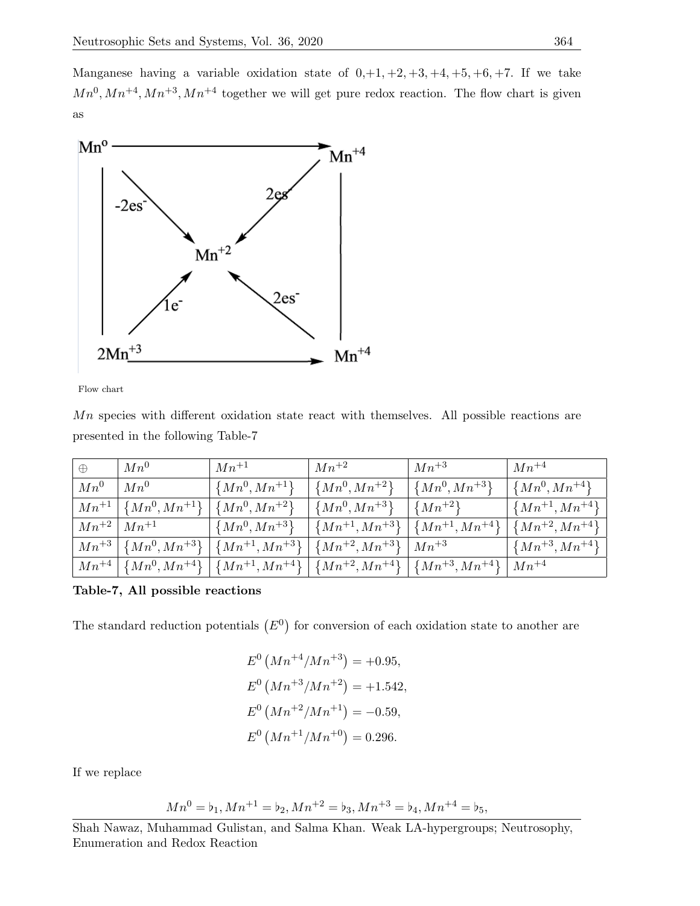Manganese having a variable oxidation state of  $0, +1, +2, +3, +4, +5, +6, +7$ . If we take  $Mn^{0}, Mn^{+4}, Mn^{+3}, Mn^{+4}$  together we will get pure redox reaction. The flow chart is given as



Flow chart

 $Mn$  species with different oxidation state react with themselves. All possible reactions are presented in the following Table-7

| $\oplus$  | $Mn^0$              | $Mn^{+1}$              | $Mn^{+2}$              | $Mn^{+3}$              | $Mn^{+4}$              |
|-----------|---------------------|------------------------|------------------------|------------------------|------------------------|
| $Mn^0$    | $Mn^0$              | $\{Mn^0, Mn^{+1}\}$    | $\{Mn^0, Mn^{+2}\}\$   | $\{Mn^0, Mn^{+3}\}$    | $\{Mn^0, Mn^{+4}\}$    |
| $Mn^{+1}$ | ${Mn^0, Mn^{+1}}$   | $\{Mn^0, Mn^{+2}\}\$   | $\{Mn^0, Mn^{+3}\}$    | $\{Mn^{+2}\}\$         | $\{Mn^{+1}, Mn^{+4}\}$ |
| $Mn^{+2}$ | $Mn^{+1}$           | $\{Mn^0, Mn^{+3}\}\$   | $\{Mn^{+1}, Mn^{+3}\}$ | $\{Mn^{+1}, Mn^{+4}\}$ | $\{Mn^{+2},Mn^{+4}\}$  |
| $Mn^{+3}$ | $\{Mn^0, Mn^{+3}\}$ | $\{Mn^{+1}, Mn^{+3}\}$ | $\{Mn^{+2}, Mn^{+3}\}$ | $Mn^{+3}$              | $\{Mn^{+3}, Mn^{+4}\}$ |
| $Mn^{+4}$ | $\{Mn^0, Mn^{+4}\}$ | $\{Mn^{+1}, Mn^{+4}\}$ | $\{Mn^{+2}, Mn^{+4}\}$ | $\{Mn^{+3},Mn^{+4}\}$  | $Mn^{+4}$              |

Table-7, All possible reactions

The standard reduction potentials  $(E^0)$  for conversion of each oxidation state to another are

$$
E^{0} (Mn^{+4}/Mn^{+3}) = +0.95,
$$
  
\n
$$
E^{0} (Mn^{+3}/Mn^{+2}) = +1.542,
$$
  
\n
$$
E^{0} (Mn^{+2}/Mn^{+1}) = -0.59,
$$
  
\n
$$
E^{0} (Mn^{+1}/Mn^{+0}) = 0.296.
$$

If we replace

$$
Mn^0 = b_1, Mn^{+1} = b_2, Mn^{+2} = b_3, Mn^{+3} = b_4, Mn^{+4} = b_5,
$$

Shah Nawaz, Muhammad Gulistan, and Salma Khan. Weak LA-hypergroups; Neutrosophy, Enumeration and Redox Reaction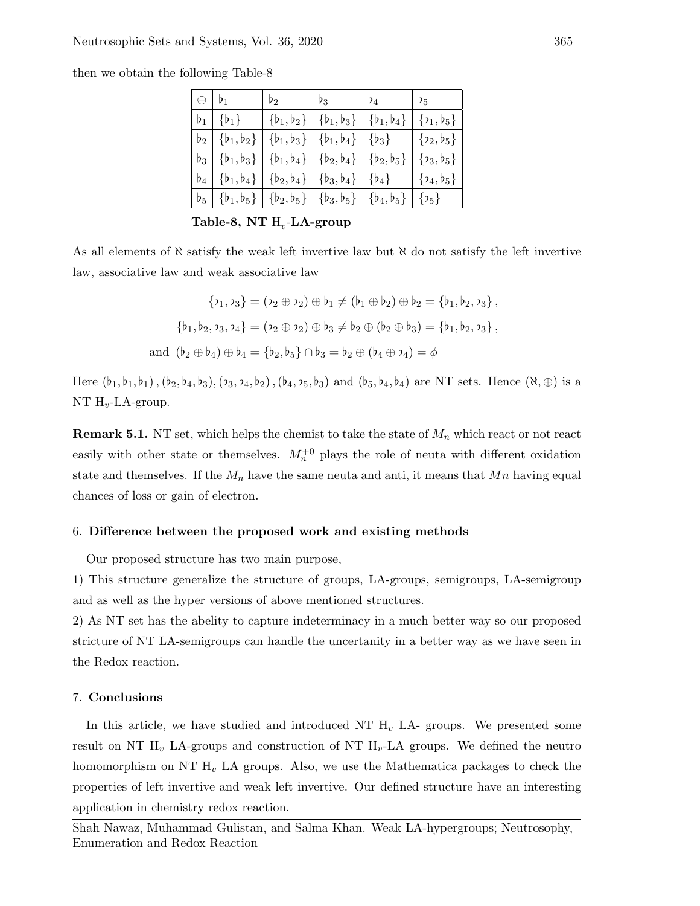then we obtain the following Table-8

| $\vert \oplus \vert b_1 \vert$ | b <sub>2</sub>                                                                                                                                                                   | $b_3$ | $\mathfrak{b}_4$ | $b_{5}$        |
|--------------------------------|----------------------------------------------------------------------------------------------------------------------------------------------------------------------------------|-------|------------------|----------------|
|                                | $\mathfrak{b}_1   \{\mathfrak{b}_1\}$ $ \{\mathfrak{b}_1,\mathfrak{b}_2\}  \{\mathfrak{b}_1,\mathfrak{b}_3\}  \{\mathfrak{b}_1,\mathfrak{b}_4\}$                                 |       |                  | $\{b_1, b_5\}$ |
|                                | $\mathfrak{b}_2 \mid \{\mathfrak{b}_1, \mathfrak{b}_2\} \mid \{\mathfrak{b}_1, \mathfrak{b}_3\} \mid \{\mathfrak{b}_1, \mathfrak{b}_4\} \mid \{\mathfrak{b}_3\}$                 |       |                  | $\{b_2, b_5\}$ |
|                                | $\mathfrak{b}_3 \mid \{\mathfrak{b}_1, \mathfrak{b}_3\} \mid \{\mathfrak{b}_1, \mathfrak{b}_4\} \mid \{\mathfrak{b}_2, \mathfrak{b}_4\} \mid \{\mathfrak{b}_2, \mathfrak{b}_5\}$ |       |                  | $\{b_3, b_5\}$ |
|                                | $\mathfrak{b}_4 \mid \{\mathfrak{b}_1, \mathfrak{b}_4\} \mid \{\mathfrak{b}_2, \mathfrak{b}_4\} \mid \{\mathfrak{b}_3, \mathfrak{b}_4\} \mid \{\mathfrak{b}_4\}$                 |       |                  | ${b_4, b_5}$   |
|                                | $\vert b_5 \vert \{b_1, b_5\} \vert \{b_2, b_5\} \vert \{b_3, b_5\} \vert \{b_4, b_5\} \vert \{b_5\}$                                                                            |       |                  |                |

Table-8, NT  $\mathrm{H}_{v}\text{-}\mathbf{L}\mathbf{A}\text{-}\mathbf{group}$ 

As all elements of  $\aleph$  satisfy the weak left invertive law but  $\aleph$  do not satisfy the left invertive law, associative law and weak associative law

$$
\{b_1, b_3\} = (b_2 \oplus b_2) \oplus b_1 \neq (b_1 \oplus b_2) \oplus b_2 = \{b_1, b_2, b_3\},
$$

$$
\{b_1, b_2, b_3, b_4\} = (b_2 \oplus b_2) \oplus b_3 \neq b_2 \oplus (b_2 \oplus b_3) = \{b_1, b_2, b_3\},
$$
and 
$$
(b_2 \oplus b_4) \oplus b_4 = \{b_2, b_5\} \cap b_3 = b_2 \oplus (b_4 \oplus b_4) = \emptyset
$$

Here  $(b_1, b_1, b_1), (b_2, b_4, b_3), (b_3, b_4, b_2), (b_4, b_5, b_3)$  and  $(b_5, b_4, b_4)$  are NT sets. Hence  $(\aleph, \oplus)$  is a NT  $H_v$ -LA-group.

**Remark 5.1.** NT set, which helps the chemist to take the state of  $M_n$  which react or not react easily with other state or themselves.  $M_n^{+0}$  plays the role of neuta with different oxidation state and themselves. If the  $M_n$  have the same neuta and anti, it means that  $M_n$  having equal chances of loss or gain of electron.

### 6. Difference between the proposed work and existing methods

Our proposed structure has two main purpose,

1) This structure generalize the structure of groups, LA-groups, semigroups, LA-semigroup and as well as the hyper versions of above mentioned structures.

2) As NT set has the abelity to capture indeterminacy in a much better way so our proposed stricture of NT LA-semigroups can handle the uncertanity in a better way as we have seen in the Redox reaction.

# 7. Conclusions

In this article, we have studied and introduced NT  $H<sub>v</sub>$  LA- groups. We presented some result on NT  $H_v$  LA-groups and construction of NT  $H_v$ -LA groups. We defined the neutro homomorphism on NT  $H_v$  LA groups. Also, we use the Mathematica packages to check the properties of left invertive and weak left invertive. Our defined structure have an interesting application in chemistry redox reaction.

Shah Nawaz, Muhammad Gulistan, and Salma Khan. Weak LA-hypergroups; Neutrosophy, Enumeration and Redox Reaction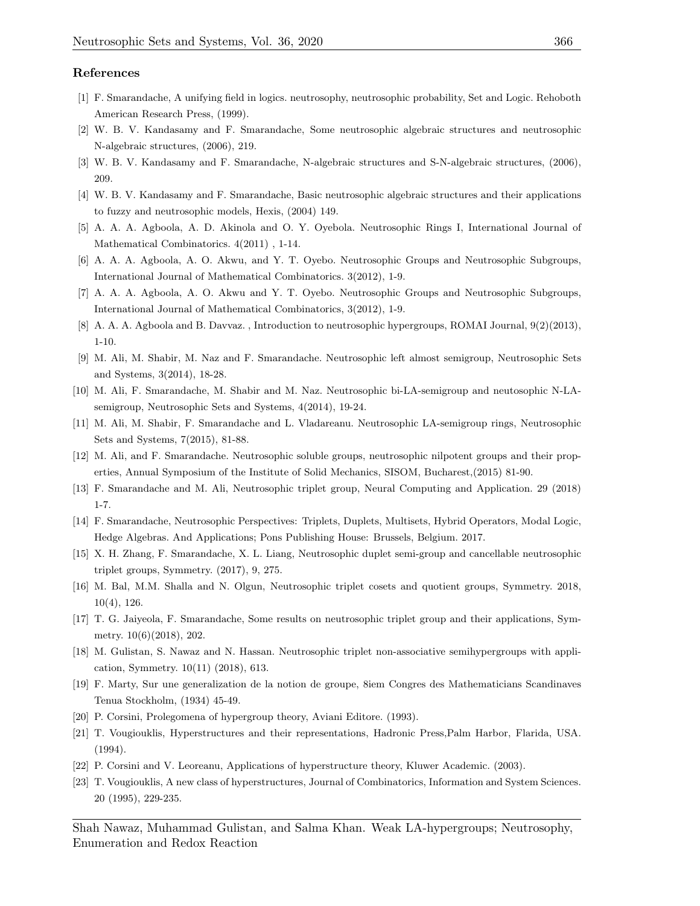#### References

- <span id="page-14-0"></span>[1] F. Smarandache, A unifying field in logics. neutrosophy, neutrosophic probability, Set and Logic. Rehoboth American Research Press, (1999).
- <span id="page-14-1"></span>[2] W. B. V. Kandasamy and F. Smarandache, Some neutrosophic algebraic structures and neutrosophic N-algebraic structures, (2006), 219.
- <span id="page-14-2"></span>[3] W. B. V. Kandasamy and F. Smarandache, N-algebraic structures and S-N-algebraic structures, (2006), 209.
- <span id="page-14-3"></span>[4] W. B. V. Kandasamy and F. Smarandache, Basic neutrosophic algebraic structures and their applications to fuzzy and neutrosophic models, Hexis, (2004) 149.
- [5] A. A. A. Agboola, A. D. Akinola and O. Y. Oyebola. Neutrosophic Rings I, International Journal of Mathematical Combinatorics. 4(2011) , 1-14.
- <span id="page-14-4"></span>[6] A. A. A. Agboola, A. O. Akwu, and Y. T. Oyebo. Neutrosophic Groups and Neutrosophic Subgroups, International Journal of Mathematical Combinatorics. 3(2012), 1-9.
- <span id="page-14-5"></span>[7] A. A. A. Agboola, A. O. Akwu and Y. T. Oyebo. Neutrosophic Groups and Neutrosophic Subgroups, International Journal of Mathematical Combinatorics, 3(2012), 1-9.
- [8] A. A. A. Agboola and B. Davvaz. , Introduction to neutrosophic hypergroups, ROMAI Journal, 9(2)(2013), 1-10.
- [9] M. Ali, M. Shabir, M. Naz and F. Smarandache. Neutrosophic left almost semigroup, Neutrosophic Sets and Systems, 3(2014), 18-28.
- [10] M. Ali, F. Smarandache, M. Shabir and M. Naz. Neutrosophic bi-LA-semigroup and neutosophic N-LAsemigroup, Neutrosophic Sets and Systems, 4(2014), 19-24.
- [11] M. Ali, M. Shabir, F. Smarandache and L. Vladareanu. Neutrosophic LA-semigroup rings, Neutrosophic Sets and Systems, 7(2015), 81-88.
- <span id="page-14-6"></span>[12] M. Ali, and F. Smarandache. Neutrosophic soluble groups, neutrosophic nilpotent groups and their properties, Annual Symposium of the Institute of Solid Mechanics, SISOM, Bucharest,(2015) 81-90.
- <span id="page-14-7"></span>[13] F. Smarandache and M. Ali, Neutrosophic triplet group, Neural Computing and Application. 29 (2018) 1-7.
- [14] F. Smarandache, Neutrosophic Perspectives: Triplets, Duplets, Multisets, Hybrid Operators, Modal Logic, Hedge Algebras. And Applications; Pons Publishing House: Brussels, Belgium. 2017.
- [15] X. H. Zhang, F. Smarandache, X. L. Liang, Neutrosophic duplet semi-group and cancellable neutrosophic triplet groups, Symmetry. (2017), 9, 275.
- [16] M. Bal, M.M. Shalla and N. Olgun, Neutrosophic triplet cosets and quotient groups, Symmetry. 2018, 10(4), 126.
- [17] T. G. Jaiyeola, F. Smarandache, Some results on neutrosophic triplet group and their applications, Symmetry. 10(6)(2018), 202.
- <span id="page-14-8"></span>[18] M. Gulistan, S. Nawaz and N. Hassan. Neutrosophic triplet non-associative semihypergroups with application, Symmetry. 10(11) (2018), 613.
- <span id="page-14-9"></span>[19] F. Marty, Sur une generalization de la notion de groupe, 8iem Congres des Mathematicians Scandinaves Tenua Stockholm, (1934) 45-49.
- <span id="page-14-10"></span>[20] P. Corsini, Prolegomena of hypergroup theory, Aviani Editore. (1993).
- [21] T. Vougiouklis, Hyperstructures and their representations, Hadronic Press,Palm Harbor, Flarida, USA. (1994).
- <span id="page-14-11"></span>[22] P. Corsini and V. Leoreanu, Applications of hyperstructure theory, Kluwer Academic. (2003).
- <span id="page-14-12"></span>[23] T. Vougiouklis, A new class of hyperstructures, Journal of Combinatorics, Information and System Sciences. 20 (1995), 229-235.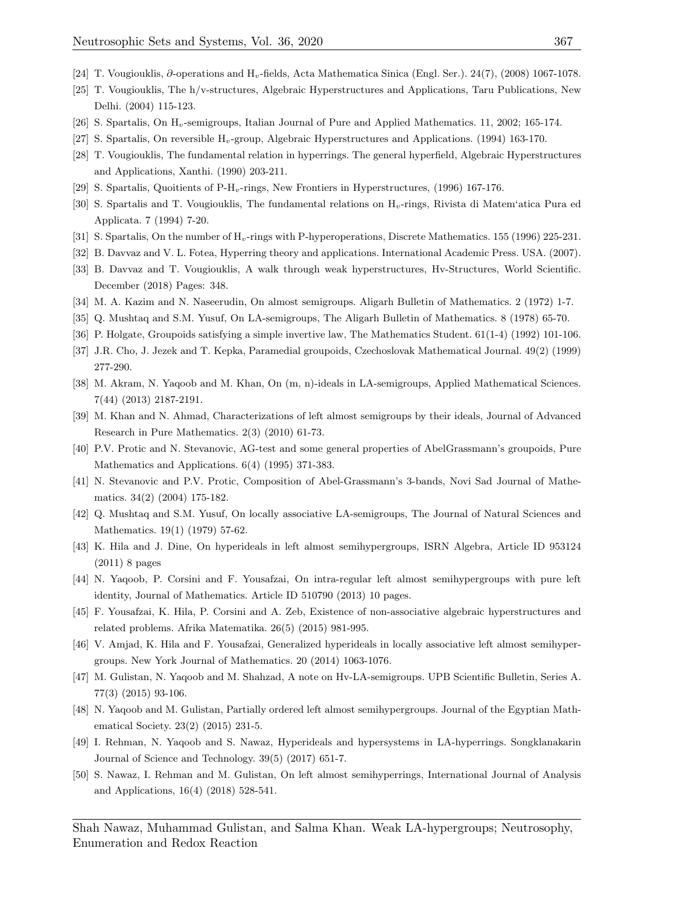- <span id="page-15-0"></span>[24] T. Vougiouklis, ∂-operations and Hv-fields, Acta Mathematica Sinica (Engl. Ser.). 24(7), (2008) 1067-1078.
- [25] T. Vougiouklis, The h/v-structures, Algebraic Hyperstructures and Applications, Taru Publications, New Delhi. (2004) 115-123.
- [26] S. Spartalis, On  $H_v$ -semigroups, Italian Journal of Pure and Applied Mathematics. 11, 2002; 165-174.
- [27] S. Spartalis, On reversible  $H_v$ -group, Algebraic Hyperstructures and Applications. (1994) 163-170.
- [28] T. Vougiouklis, The fundamental relation in hyperrings. The general hyperfield, Algebraic Hyperstructures and Applications, Xanthi. (1990) 203-211.
- [29] S. Spartalis, Quoitients of P-H<sub>v</sub>-rings, New Frontiers in Hyperstructures, (1996) 167-176.
- [30] S. Spartalis and T. Vougiouklis, The fundamental relations on Hv-rings, Rivista di Matem'atica Pura ed Applicata. 7 (1994) 7-20.
- <span id="page-15-1"></span>[31] S. Spartalis, On the number of  $H_v$ -rings with P-hyperoperations, Discrete Mathematics. 155 (1996) 225-231.
- <span id="page-15-2"></span>[32] B. Davvaz and V. L. Fotea, Hyperring theory and applications. International Academic Press. USA. (2007).
- <span id="page-15-3"></span>[33] B. Davvaz and T. Vougiouklis, A walk through weak hyperstructures, Hv-Structures, World Scientific. December (2018) Pages: 348.
- <span id="page-15-4"></span>[34] M. A. Kazim and N. Naseerudin, On almost semigroups. Aligarh Bulletin of Mathematics. 2 (1972) 1-7.
- <span id="page-15-5"></span>[35] Q. Mushtaq and S.M. Yusuf, On LA-semigroups, The Aligarh Bulletin of Mathematics. 8 (1978) 65-70.
- <span id="page-15-6"></span>[36] P. Holgate, Groupoids satisfying a simple invertive law, The Mathematics Student. 61(1-4) (1992) 101-106.
- [37] J.R. Cho, J. Jezek and T. Kepka, Paramedial groupoids, Czechoslovak Mathematical Journal. 49(2) (1999) 277-290.
- [38] M. Akram, N. Yaqoob and M. Khan, On (m, n)-ideals in LA-semigroups, Applied Mathematical Sciences. 7(44) (2013) 2187-2191.
- [39] M. Khan and N. Ahmad, Characterizations of left almost semigroups by their ideals, Journal of Advanced Research in Pure Mathematics. 2(3) (2010) 61-73.
- [40] P.V. Protic and N. Stevanovic, AG-test and some general properties of AbelGrassmann's groupoids, Pure Mathematics and Applications. 6(4) (1995) 371-383.
- [41] N. Stevanovic and P.V. Protic, Composition of Abel-Grassmann's 3-bands, Novi Sad Journal of Mathematics. 34(2) (2004) 175-182.
- <span id="page-15-7"></span>[42] Q. Mushtaq and S.M. Yusuf, On locally associative LA-semigroups, The Journal of Natural Sciences and Mathematics. 19(1) (1979) 57-62.
- <span id="page-15-8"></span>[43] K. Hila and J. Dine, On hyperideals in left almost semihypergroups, ISRN Algebra, Article ID 953124 (2011) 8 pages
- <span id="page-15-9"></span>[44] N. Yaqoob, P. Corsini and F. Yousafzai, On intra-regular left almost semihypergroups with pure left identity, Journal of Mathematics. Article ID 510790 (2013) 10 pages.
- <span id="page-15-10"></span>[45] F. Yousafzai, K. Hila, P. Corsini and A. Zeb, Existence of non-associative algebraic hyperstructures and related problems. Afrika Matematika. 26(5) (2015) 981-995.
- <span id="page-15-11"></span>[46] V. Amjad, K. Hila and F. Yousafzai, Generalized hyperideals in locally associative left almost semihypergroups. New York Journal of Mathematics. 20 (2014) 1063-1076.
- <span id="page-15-12"></span>[47] M. Gulistan, N. Yaqoob and M. Shahzad, A note on Hv-LA-semigroups. UPB Scientific Bulletin, Series A. 77(3) (2015) 93-106.
- <span id="page-15-13"></span>[48] N. Yaqoob and M. Gulistan, Partially ordered left almost semihypergroups. Journal of the Egyptian Mathematical Society. 23(2) (2015) 231-5.
- <span id="page-15-14"></span>[49] I. Rehman, N. Yaqoob and S. Nawaz, Hyperideals and hypersystems in LA-hyperrings. Songklanakarin Journal of Science and Technology. 39(5) (2017) 651-7.
- <span id="page-15-15"></span>[50] S. Nawaz, I. Rehman and M. Gulistan, On left almost semihyperrings, International Journal of Analysis and Applications, 16(4) (2018) 528-541.